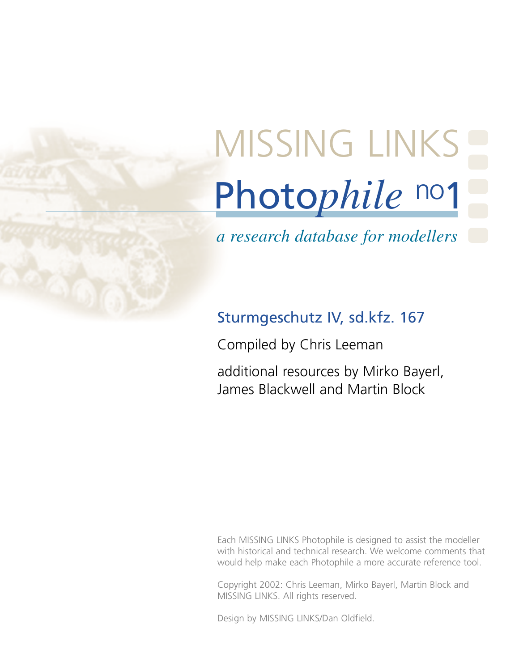# Photo*phile* no1 MISSING LINKS

*a research database for modellers*

# Sturmgeschutz IV, sd.kfz. 167

Compiled by Chris Leeman

additional resources by Mirko Bayerl, James Blackwell and Martin Block

Each MISSING LINKS Photophile is designed to assist the modeller with historical and technical research. We welcome comments that would help make each Photophile a more accurate reference tool.

Copyright 2002: Chris Leeman, Mirko Bayerl, Martin Block and MISSING LINKS. All rights reserved.

Design by MISSING LINKS/Dan Oldfield.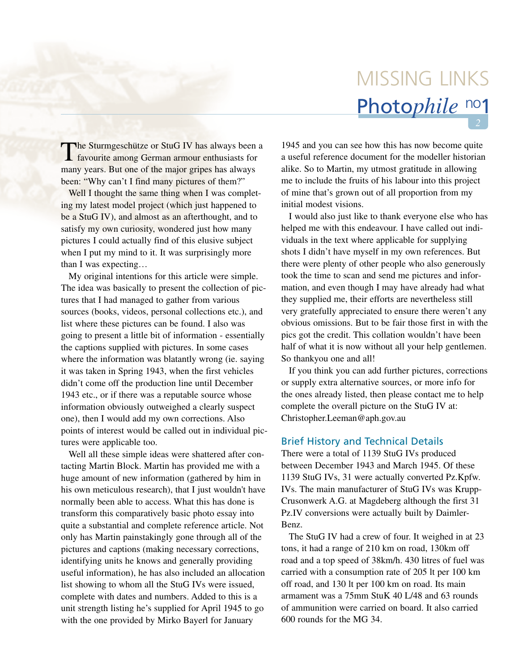# Photo*phile* no1 MISSING LINKS

The Sturmgeschütze or StuG IV has always been a favourite among German armour enthusiasts for many years. But one of the major gripes has always been: "Why can't I find many pictures of them?"

Well I thought the same thing when I was completing my latest model project (which just happened to be a StuG IV), and almost as an afterthought, and to satisfy my own curiosity, wondered just how many pictures I could actually find of this elusive subject when I put my mind to it. It was surprisingly more than I was expecting…

My original intentions for this article were simple. The idea was basically to present the collection of pictures that I had managed to gather from various sources (books, videos, personal collections etc.), and list where these pictures can be found. I also was going to present a little bit of information - essentially the captions supplied with pictures. In some cases where the information was blatantly wrong (ie. saying it was taken in Spring 1943, when the first vehicles didn't come off the production line until December 1943 etc., or if there was a reputable source whose information obviously outweighed a clearly suspect one), then I would add my own corrections. Also points of interest would be called out in individual pictures were applicable too.

Well all these simple ideas were shattered after contacting Martin Block. Martin has provided me with a huge amount of new information (gathered by him in his own meticulous research), that I just wouldn't have normally been able to access. What this has done is transform this comparatively basic photo essay into quite a substantial and complete reference article. Not only has Martin painstakingly gone through all of the pictures and captions (making necessary corrections, identifying units he knows and generally providing useful information), he has also included an allocation list showing to whom all the StuG IVs were issued, complete with dates and numbers. Added to this is a unit strength listing he's supplied for April 1945 to go with the one provided by Mirko Bayerl for January

1945 and you can see how this has now become quite a useful reference document for the modeller historian alike. So to Martin, my utmost gratitude in allowing me to include the fruits of his labour into this project of mine that's grown out of all proportion from my initial modest visions.

I would also just like to thank everyone else who has helped me with this endeavour. I have called out individuals in the text where applicable for supplying shots I didn't have myself in my own references. But there were plenty of other people who also generously took the time to scan and send me pictures and information, and even though I may have already had what they supplied me, their efforts are nevertheless still very gratefully appreciated to ensure there weren't any obvious omissions. But to be fair those first in with the pics got the credit. This collation wouldn't have been half of what it is now without all your help gentlemen. So thankyou one and all!

If you think you can add further pictures, corrections or supply extra alternative sources, or more info for the ones already listed, then please contact me to help complete the overall picture on the StuG IV at: Christopher.Leeman@aph.gov.au

# Brief History and Technical Details

There were a total of 1139 StuG IVs produced between December 1943 and March 1945. Of these 1139 StuG IVs, 31 were actually converted Pz.Kpfw. IVs. The main manufacturer of StuG IVs was Krupp-Crusonwerk A.G. at Magdeberg although the first 31 Pz.IV conversions were actually built by Daimler-Benz.

The StuG IV had a crew of four. It weighed in at 23 tons, it had a range of 210 km on road, 130km off road and a top speed of 38km/h. 430 litres of fuel was carried with a consumption rate of 205 lt per 100 km off road, and 130 lt per 100 km on road. Its main armament was a 75mm StuK 40 L/48 and 63 rounds of ammunition were carried on board. It also carried 600 rounds for the MG 34.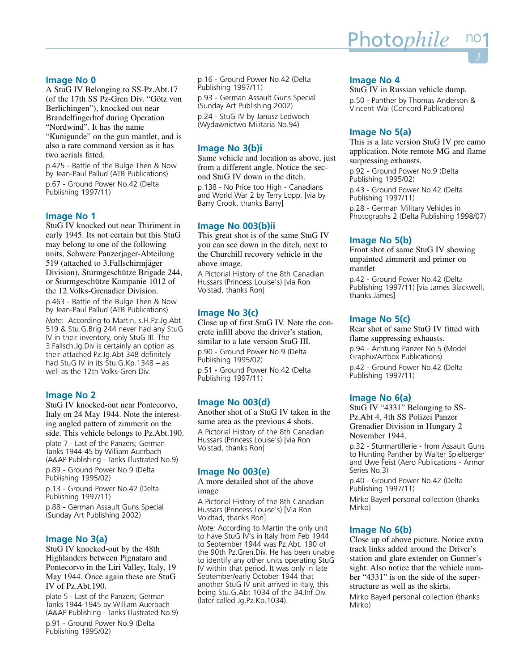# **Image No 0**

A StuG IV Belonging to SS-Pz.Abt.17 (of the 17th SS Pz-Gren Div. "Götz von Berlichingen"), knocked out near Brandelfingerhof during Operation "Nordwind". It has the name "Kunigunde" on the gun mantlet, and is also a rare command version as it has two aerials fitted.

p.425 - Battle of the Bulge Then & Now by Jean-Paul Pallud (ATB Publications) p.67 - Ground Power No.42 (Delta Publishing 1997/11)

# **Image No 1**

StuG IV knocked out near Thiriment in early 1945. Its not certain but this StuG may belong to one of the following units, Schwere Panzerjager-Abteilung 519 (attached to 3.Fallschirmjäger Division), Sturmgeschütze Brigade 244, or Sturmgeschütze Kompanie 1012 of the 12.Volks-Grenadier Division.

p.463 - Battle of the Bulge Then & Now by Jean-Paul Pallud (ATB Publications)

*Note:* According to Martin, s.H.Pz.Jg.Abt 519 & Stu.G.Brig 244 never had any StuG IV in their inventory, only StuG III. The 3.Fallsch.Jg.Div is certainly an option as their attached Pz.Jg.Abt 348 definitely had StuG IV in its Stu.G.Kp.1348 – as well as the 12th Volks-Gren Div.

# **Image No 2**

StuG IV knocked-out near Pontecorvo, Italy on 24 May 1944. Note the interesting angled pattern of zimmerit on the side. This vehicle belongs to Pz.Abt.190. plate 7 - Last of the Panzers; German Tanks 1944-45 by William Auerbach (A&AP Publishing - Tanks Illustrated No.9) p.89 - Ground Power No.9 (Delta Publishing 1995/02)

p.13 - Ground Power No.42 (Delta Publishing 1997/11) p.88 - German Assault Guns Special (Sunday Art Publishing 2002)

# **Image No 3(a)**

StuG IV knocked-out by the 48th Highlanders between Pignataro and Pontecorvo in the Liri Valley, Italy, 19 May 1944. Once again these are StuG IV of Pz.Abt.190.

plate 5 - Last of the Panzers; German Tanks 1944-1945 by William Auerbach (A&AP Publishing - Tanks Illustrated No.9) p.91 - Ground Power No.9 (Delta Publishing 1995/02)

p.16 - Ground Power No.42 (Delta Publishing 1997/11)

p.93 - German Assault Guns Special (Sunday Art Publishing 2002) p.24 - StuG IV by Janusz Ledwoch (Wydawnictwo Militaria No.94)

# **Image No 3(b)i**

Same vehicle and location as above, just from a different angle. Notice the second StuG IV down in the ditch.

p.138 - No Price too High - Canadians and World War 2 by Terry Lopp. [via by Barry Crook, thanks Barry]

# **Image No 003(b)ii**

This great shot is of the same StuG IV you can see down in the ditch, next to the Churchill recovery vehicle in the above image.

A Pictorial History of the 8th Canadian Hussars (Princess Louise's) [via Ron Volstad, thanks Ron]

# **Image No 3(c)**

Close up of first StuG IV. Note the concrete infill above the driver's station, similar to a late version StuG III.

p.90 - Ground Power No.9 (Delta Publishing 1995/02)

p.51 - Ground Power No.42 (Delta Publishing 1997/11)

# **Image No 003(d)**

Another shot of a StuG IV taken in the same area as the previous 4 shots.

A Pictorial History of the 8th Canadian Hussars (Princess Louise's) [via Ron Volstad, thanks Ron]

#### **Image No 003(e)**

A more detailed shot of the above image

A Pictorial History of the 8th Canadian Hussars (Princess Louise's) [Via Ron Voldtad, thanks Ron]

*Note:* According to Martin the only unit to have StuG IV's in Italy from Feb 1944 to September 1944 was Pz.Abt. 190 of the 90th Pz.Gren.Div. He has been unable to identify any other units operating StuG IV within that period. It was only in late September/early October 1944 that another StuG IV unit arrived in Italy, this being Stu.G.Abt 1034 of the 34.Inf.Div. (later called Jg.Pz.Kp.1034).

# **Image No 4**

StuG IV in Russian vehicle dump. p.50 - Panther by Thomas Anderson & Vincent Wai (Concord Publications)

# **Image No 5(a)**

This is a late version StuG IV pre camo application. Note remote MG and flame surpressing exhausts.

p.92 - Ground Power No.9 (Delta Publishing 1995/02)

p.43 - Ground Power No.42 (Delta Publishing 1997/11) p.28 - German Military Vehicles in Photographs 2 (Delta Publishing 1998/07)

# **Image No 5(b)**

Front shot of same StuG IV showing unpainted zimmerit and primer on mantlet

p.42 - Ground Power No.42 (Delta Publishing 1997/11) [via James Blackwell, thanks James]

# **Image No 5(c)**

Rear shot of same StuG IV fitted with flame suppressing exhausts. p.94 - Achtung Panzer No.5 (Model Graphix/Artbox Publications) p.42 - Ground Power No.42 (Delta Publishing 1997/11)

# **Image No 6(a)**

StuG IV "4331" Belonging to SS-Pz.Abt 4, 4th SS Polizei Panzer Grenadier Division in Hungary 2 November 1944.

p.32 - Sturmartillerie - from Assault Guns to Hunting Panther by Walter Spielberger and Uwe Feist (Aero Publications - Armor Series No.3)

p.40 - Ground Power No.42 (Delta Publishing 1997/11)

Mirko Bayerl personal collection (thanks Mirko)

# **Image No 6(b)**

Close up of above picture. Notice extra track links added around the Driver's station and glare extender on Gunner's sight. Also notice that the vehicle number "4331" is on the side of the superstructure as well as the skirts.

Mirko Bayerl personal collection (thanks Mirko)

# <u>Photo*phile* n</u>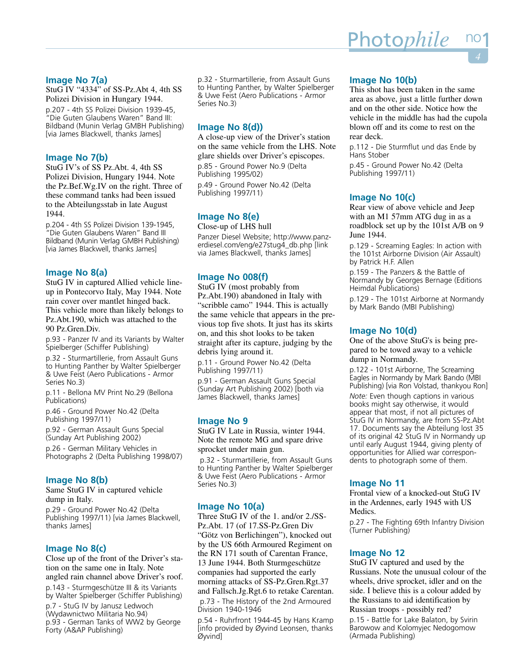# **Image No 7(a)**

StuG IV "4334" of SS-Pz.Abt 4, 4th SS Polizei Division in Hungary 1944. p.207 - 4th SS Polizei Division 1939-45, "Die Guten Glaubens Waren" Band III: Bildband (Munin Verlag GMBH Publishing) [via James Blackwell, thanks James]

# **Image No 7(b)**

StuG IV's of SS Pz.Abt. 4, 4th SS Polizei Division, Hungary 1944. Note the Pz.Bef.Wg.IV on the right. Three of these command tanks had been issued to the Abteilungsstab in late August 1944.

p.204 - 4th SS Polizei Division 139-1945, "Die Guten Glaubens Waren" Band III Bildband (Munin Verlag GMBH Publishing) [via James Blackwell, thanks James]

# **Image No 8(a)**

StuG IV in captured Allied vehicle lineup in Pontecorvo Italy, May 1944. Note rain cover over mantlet hinged back. This vehicle more than likely belongs to Pz.Abt.190, which was attached to the 90 Pz.Gren.Div.

p.93 - Panzer IV and its Variants by Walter Spielberger (Schiffer Publishing)

p.32 - Sturmartillerie, from Assault Guns to Hunting Panther by Walter Spielberger & Uwe Feist (Aero Publications - Armor Series No.3)

p.11 - Bellona MV Print No.29 (Bellona Publications)

p.46 - Ground Power No.42 (Delta Publishing 1997/11)

p.92 - German Assault Guns Special (Sunday Art Publishing 2002)

p.26 - German Military Vehicles in Photographs 2 (Delta Publishing 1998/07)

# **Image No 8(b)**

Same StuG IV in captured vehicle dump in Italy.

p.29 - Ground Power No.42 (Delta Publishing 1997/11) [via James Blackwell, thanks James]

# **Image No 8(c)**

Close up of the front of the Driver's station on the same one in Italy. Note angled rain channel above Driver's roof.

p.143 - Sturmgeschütze III & its Variants by Walter Spielberger (Schiffer Publishing)

p.7 - StuG IV by Janusz Ledwoch (Wydawnictwo Militaria No.94) p.93 - German Tanks of WW2 by George Forty (A&AP Publishing)

p.32 - Sturmartillerie, from Assault Guns to Hunting Panther, by Walter Spielberger & Uwe Feist (Aero Publications - Armor Series No.3)

# **Image No 8(d))**

A close-up view of the Driver's station on the same vehicle from the LHS. Note glare shields over Driver's episcopes.

p.85 - Ground Power No.9 (Delta Publishing 1995/02)

p.49 - Ground Power No.42 (Delta Publishing 1997/11)

# **Image No 8(e)**

Close-up of LHS hull Panzer Diesel Website; http://www.panzerdiesel.com/eng/e27stug4\_db.php [link

via James Blackwell, thanks James]

# **Image No 008(f)**

StuG IV (most probably from Pz.Abt.190) abandoned in Italy with "scribble camo" 1944. This is actually the same vehicle that appears in the previous top five shots. It just has its skirts on, and this shot looks to be taken straight after its capture, judging by the debris lying around it.

p.11 - Ground Power No.42 (Delta Publishing 1997/11)

p.91 - German Assault Guns Special (Sunday Art Publishing 2002) [both via James Blackwell, thanks James]

# **Image No 9**

StuG IV Late in Russia, winter 1944. Note the remote MG and spare drive sprocket under main gun.

p.32 - Sturmartillerie, from Assault Guns to Hunting Panther by Walter Spielberger & Uwe Feist (Aero Publications - Armor Series No.3)

# **Image No 10(a)**

Three StuG IV of the 1. and/or 2./SS-Pz.Abt. 17 (of 17.SS-Pz.Gren Div "Götz von Berlichingen"), knocked out by the US 66th Armoured Regiment on the RN 171 south of Carentan France, 13 June 1944. Both Sturmgeschütze companies had supported the early morning attacks of SS-Pz.Gren.Rgt.37 and Fallsch.Jg.Rgt.6 to retake Carentan.

p.73 - The History of the 2nd Armoured Division 1940-1946

p.54 - Ruhrfront 1944-45 by Hans Kramp [info provided by Øyvind Leonsen, thanks Øyvind]

# **Image No 10(b)**

This shot has been taken in the same area as above, just a little further down and on the other side. Notice how the vehicle in the middle has had the cupola blown off and its come to rest on the rear deck.

p.112 - Die Sturmflut und das Ende by Hans Stober

p.45 - Ground Power No.42 (Delta Publishing 1997/11)

# **Image No 10(c)**

Rear view of above vehicle and Jeep with an M1 57mm ATG dug in as a roadblock set up by the 101st A/B on 9 June 1944.

p.129 - Screaming Eagles: In action with the 101st Airborne Division (Air Assault) by Patrick H.F. Allen

p.159 - The Panzers & the Battle of Normandy by Georges Bernage (Editions Heimdal Publications)

p.129 - The 101st Airborne at Normandy by Mark Bando (MBI Publishing)

# **Image No 10(d)**

One of the above StuG's is being prepared to be towed away to a vehicle dump in Normandy.

p.122 - 101st Airborne, The Screaming Eagles in Normandy by Mark Bando (MBI Publishing) [via Ron Volstad, thankyou Ron]

*Note:* Even though captions in various books might say otherwise, it would appear that most, if not all pictures of StuG IV in Normandy, are from SS-Pz.Abt 17. Documents say the Abteilung lost 35 of its original 42 StuG IV in Normandy up until early August 1944, giving plenty of opportunities for Allied war correspondents to photograph some of them.

# **Image No 11**

Frontal view of a knocked-out StuG IV in the Ardennes, early 1945 with US Medics.

p.27 - The Fighting 69th Infantry Division (Turner Publishing)

# **Image No 12**

StuG IV captured and used by the Russians. Note the unusual colour of the wheels, drive sprocket, idler and on the side. I believe this is a colour added by the Russians to aid identification by Russian troops - possibly red?

p.15 - Battle for Lake Balaton, by Svirin Barowow and Kolomyjec Nedogomow (Armada Publishing)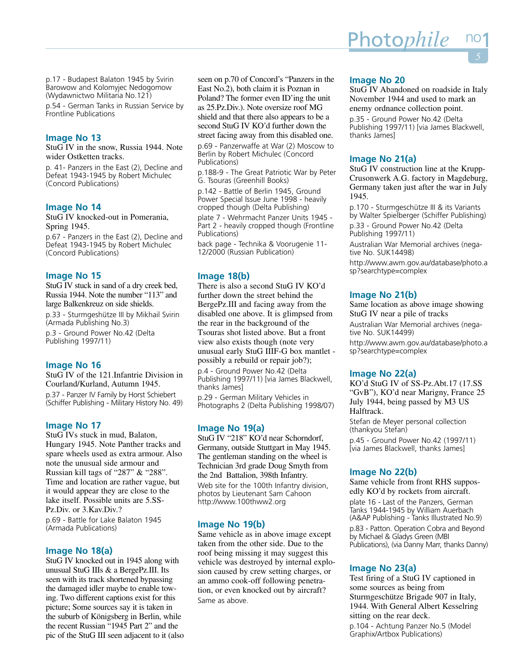p.17 - Budapest Balaton 1945 by Svirin Barowow and Kolomyjec Nedogomow (Wydawnictwo Militaria No.121)

p.54 - German Tanks in Russian Service by Frontline Publications

# **Image No 13**

StuG IV in the snow, Russia 1944. Note wider Ostketten tracks.

p. 41- Panzers in the East (2), Decline and Defeat 1943-1945 by Robert Michulec (Concord Publications)

#### **Image No 14**

StuG IV knocked-out in Pomerania, Spring 1945.

p.67 - Panzers in the East (2), Decline and Defeat 1943-1945 by Robert Michulec (Concord Publications)

#### **Image No 15**

StuG IV stuck in sand of a dry creek bed, Russia 1944. Note the number "113" and large Balkenkreuz on side shields.

p.33 - Sturmgeshütze III by Mikhail Svirin (Armada Publishing No.3)

p.3 - Ground Power No.42 (Delta Publishing 1997/11)

#### **Image No 16**

StuG IV of the 121.Infantrie Division in Courland/Kurland, Autumn 1945. p.37 - Panzer IV Family by Horst Schiebert (Schiffer Publishing - Military History No. 49)

# **Image No 17**

StuG IVs stuck in mud, Balaton, Hungary 1945. Note Panther tracks and spare wheels used as extra armour. Also note the unusual side armour and Russian kill tags of "287" & "288". Time and location are rather vague, but it would appear they are close to the lake itself. Possible units are 5.SS-Pz.Div. or 3.Kav.Div.?

p.69 - Battle for Lake Balaton 1945 (Armada Publications)

#### **Image No 18(a)**

StuG IV knocked out in 1945 along with unusual StuG IIIs & a BergePz.III. Its seen with its track shortened bypassing the damaged idler maybe to enable towing. Two different captions exist for this picture; Some sources say it is taken in the suburb of Königsberg in Berlin, while the recent Russian "1945 Part 2" and the pic of the StuG III seen adjacent to it (also

seen on p.70 of Concord's "Panzers in the East No.2), both claim it is Poznan in Poland? The former even ID'ing the unit as 25.Pz.Div.). Note oversize roof MG shield and that there also appears to be a second StuG IV KO'd further down the street facing away from this disabled one.

p.69 - Panzerwaffe at War (2) Moscow to Berlin by Robert Michulec (Concord Publications)

p.188-9 - The Great Patriotic War by Peter G. Tsouras (Greenhill Books)

p.142 - Battle of Berlin 1945, Ground Power Special Issue June 1998 - heavily cropped though (Delta Publishing)

plate 7 - Wehrmacht Panzer Units 1945 - Part 2 - heavily cropped though (Frontline Publications)

back page - Technika & Voorugenie 11- 12/2000 (Russian Publication)

#### **Image 18(b)**

There is also a second StuG IV KO'd further down the street behind the BergePz.III and facing away from the disabled one above. It is glimpsed from the rear in the background of the Tsouras shot listed above. But a front view also exists though (note very unusual early StuG IIIF-G box mantlet possibly a rebuild or repair job?);

p.4 - Ground Power No.42 (Delta Publishing 1997/11) [via James Blackwell, thanks James]

p.29 - German Military Vehicles in Photographs 2 (Delta Publishing 1998/07)

# **Image No 19(a)**

StuG IV "218" KO'd near Schorndorf, Germany, outside Stuttgart in May 1945. The gentleman standing on the wheel is Technician 3rd grade Doug Smyth from the 2nd Battalion, 398th Infantry.

Web site for the 100th Infantry division, photos by Lieutenant Sam Cahoon http://www.100thww2.org

#### **Image No 19(b)**

Same vehicle as in above image except taken from the other side. Due to the roof being missing it may suggest this vehicle was destroyed by internal explosion caused by crew setting charges, or an ammo cook-off following penetration, or even knocked out by aircraft? Same as above.

# **Image No 20**

StuG IV Abandoned on roadside in Italy November 1944 and used to mark an enemy ordnance collection point.

p.35 - Ground Power No.42 (Delta Publishing 1997/11) [via James Blackwell, thanks James]

# **Image No 21(a)**

StuG IV construction line at the Krupp-Crusonwerk A.G. factory in Magdeburg, Germany taken just after the war in July 1945.

p.170 - Sturmgeschütze III & its Variants by Walter Spielberger (Schiffer Publishing)

p.33 - Ground Power No.42 (Delta Publishing 1997/11)

Australian War Memorial archives (negative No. SUK14498)

http://www.awm.gov.au/database/photo.a sp?searchtype=complex

# **Image No 21(b)**

Same location as above image showing StuG IV near a pile of tracks

Australian War Memorial archives (negative No. SUK14499)

http://www.awm.gov.au/database/photo.a sp?searchtype=complex

# **Image No 22(a)**

KO'd StuG IV of SS-Pz.Abt.17 (17.SS "GvB"), KO'd near Marigny, France 25 July 1944, being passed by M3 US Halftrack. Stefan de Meyer personal collection (thankyou Stefan) p.45 - Ground Power No.42 (1997/11) [via James Blackwell, thanks James]

**Image No 22(b)**

Same vehicle from front RHS supposedly KO'd by rockets from aircraft.

plate 16 - Last of the Panzers, German Tanks 1944-1945 by William Auerbach (A&AP Publishing - Tanks Illustrated No.9)

p.83 - Patton. Operation Cobra and Beyond by Michael & Gladys Green (MBI Publications), (via Danny Marr, thanks Danny)

# **Image No 23(a)**

Test firing of a StuG IV captioned in some sources as being from Sturmgeschütze Brigade 907 in Italy, 1944. With General Albert Kesselring sitting on the rear deck. p.104 - Achtung Panzer No.5 (Model Graphix/Artbox Publications)

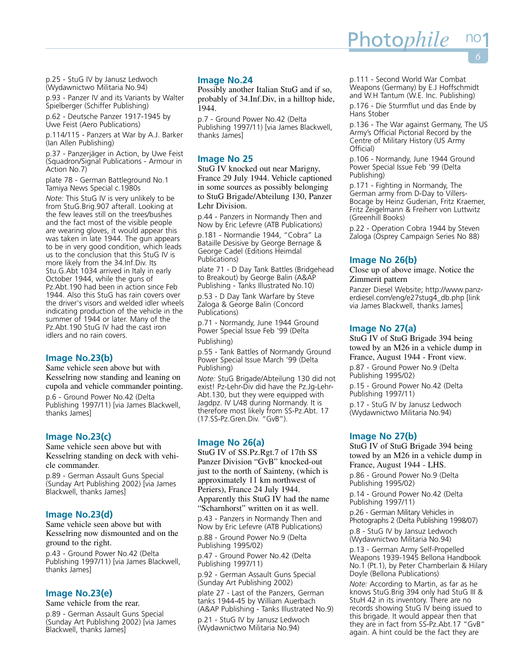p.25 - StuG IV by Janusz Ledwoch (Wydawnictwo Militaria No.94)

p.93 - Panzer IV and its Variants by Walter Spielberger (Schiffer Publishing)

p.62 - Deutsche Panzer 1917-1945 by Uwe Feist (Aero Publications)

p.114/115 - Panzers at War by A.J. Barker (Ian Allen Publishing)

p.37 - Panzerjäger in Action, by Uwe Feist (Squadron/Signal Publications - Armour in Action No.7)

plate 78 - German Battleground No.1 Tamiya News Special c.1980s

*Note:* This StuG IV is very unlikely to be from StuG.Brig.907 afterall. Looking at the few leaves still on the trees/bushes and the fact most of the visible people are wearing gloves, it would appear this was taken in late 1944. The gun appears to be in very good condition, which leads us to the conclusion that this StuG IV is more likely from the 34.Inf.Div. Its Stu.G.Abt 1034 arrived in Italy in early October 1944, while the guns of Pz.Abt.190 had been in action since Feb 1944. Also this StuG has rain covers over the driver's visors and welded idler wheels indicating production of the vehicle in the summer of 1944 or later. Many of the Pz.Abt.190 StuG IV had the cast iron idlers and no rain covers.

# **Image No.23(b)**

Same vehicle seen above but with Kesselring now standing and leaning on cupola and vehicle commander pointing.

p.6 - Ground Power No.42 (Delta Publishing 1997/11) [via James Blackwell, thanks James]

# **Image No.23(c)**

Same vehicle seen above but with Kesselring standing on deck with vehicle commander.

p.89 - German Assault Guns Special (Sunday Art Publishing 2002) [via James Blackwell, thanks James]

#### **Image No.23(d)**

Same vehicle seen above but with Kesselring now dismounted and on the ground to the right.

p.43 - Ground Power No.42 (Delta Publishing 1997/11) [via James Blackwell, thanks James]

# **Image No.23(e)**

Same vehicle from the rear.

p.89 - German Assault Guns Special (Sunday Art Publishing 2002) [via James Blackwell, thanks James]

# **Image No.24**

Possibly another Italian StuG and if so, probably of 34.Inf.Div, in a hilltop hide, 1944.

p.7 - Ground Power No.42 (Delta Publishing 1997/11) [via James Blackwell, thanks James]

# **Image No 25**

StuG IV knocked out near Marigny, France 29 July 1944. Vehicle captioned in some sources as possibly belonging to StuG Brigade/Abteilung 130, Panzer Lehr Division.

p.44 - Panzers in Normandy Then and Now by Eric Lefevre (ATB Publications) p.181 - Normandie 1944, "Cobra" La

Bataille Desisive by George Bernage & George Cadel (Editions Heimdal Publications)

plate 71 - D Day Tank Battles (Bridgehead to Breakout) by George Balin (A&AP Publishing - Tanks Illustrated No.10)

p.53 - D Day Tank Warfare by Steve Zaloga & George Balin (Concord Publications)

p.71 - Normandy, June 1944 Ground Power Special Issue Feb '99 (Delta

Publishing)

p.55 - Tank Battles of Normandy Ground Power Special Issue March '99 (Delta Publishing)

*Note:* StuG Brigade/Abteilung 130 did not exist! Pz-Lehr-Div did have the Pz.Jg-Lehr-Abt.130, but they were equipped with Jagdpz. IV L/48 during Normandy. It is therefore most likely from SS-Pz.Abt. 17 (17.SS-Pz.Gren.Div. "GvB").

# **Image No 26(a)**

StuG IV of SS.Pz.Rgt.7 of 17th SS Panzer Division "GvB" knocked-out just to the north of Sainteny, (which is approximately 11 km northwest of Periers), France 24 July 1944. Apparently this StuG IV had the name "Scharnhorst" written on it as well.

p.43 - Panzers in Normandy Then and Now by Eric Lefevre (ATB Publications)

p.88 - Ground Power No.9 (Delta Publishing 1995/02)

p.47 - Ground Power No.42 (Delta Publishing 1997/11)

p.92 - German Assault Guns Special (Sunday Art Publishing 2002)

plate 27 - Last of the Panzers, German tanks 1944-45 by William Auerbach (A&AP Publishing - Tanks Illustrated No.9)

p.21 - StuG IV by Janusz Ledwoch (Wydawnictwo Militaria No.94)

p.111 - Second World War Combat Weapons (Germany) by E.J Hoffschmidt and W.H Tantum (W.E. Inc. Publishing)

Photo*phile* 

p.176 - Die Sturmflut und das Ende by Hans Stober

p.136 - The War against Germany, The US Army's Official Pictorial Record by the Centre of Military History (US Army Official)

p.106 - Normandy, June 1944 Ground Power Special Issue Feb '99 (Delta Publishing)

p.171 - Fighting in Normandy, The German army from D-Day to Villers-Bocage by Heinz Guderian, Fritz Kraemer, Fritz Zeigelmann & Freiherr von Luttwitz (Greenhill Books)

p.22 - Operation Cobra 1944 by Steven Zaloga (Osprey Campaign Series No 88)

# **Image No 26(b)**

Close up of above image. Notice the Zimmerit pattern

Panzer Diesel Website; http://www.panzerdiesel.com/eng/e27stug4\_db.php [link via James Blackwell, thanks James]

# **Image No 27(a)**

StuG IV of StuG Brigade 394 being towed by an M26 in a vehicle dump in France, August 1944 - Front view.

p.87 - Ground Power No.9 (Delta Publishing 1995/02)

p.15 - Ground Power No.42 (Delta Publishing 1997/11)

p.17 - StuG IV by Janusz Ledwoch (Wydawnictwo Militaria No.94)

# **Image No 27(b)**

StuG IV of StuG Brigade 394 being towed by an M26 in a vehicle dump in France, August 1944 - LHS.

p.86 - Ground Power No.9 (Delta Publishing 1995/02)

p.14 - Ground Power No.42 (Delta Publishing 1997/11)

p.26 - German Military Vehicles in Photographs 2 (Delta Publishing 1998/07)

p.8 - StuG IV by Jansuz Ledwoch (Wydawnictwo Militaria No.94)

p.13 - German Army Self-Propelled Weapons 1939-1945 Bellona Handbook No.1 (Pt.1), by Peter Chamberlain & Hilary Doyle (Bellona Publications)

*Note:* According to Martin, as far as he knows StuG.Brig 394 only had StuG III & StuH 42 in its inventory. There are no records showing StuG IV being issued to this brigade. It would appear then that they are in fact from SS-Pz.Abt.17 "GvB" again. A hint could be the fact they are

*6*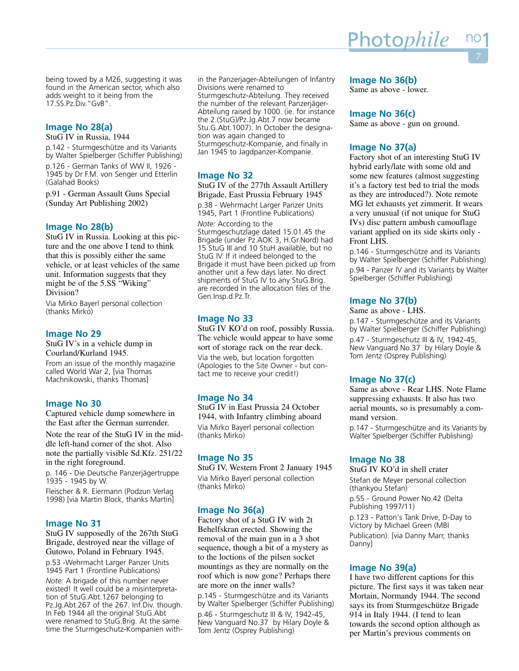being towed by a M26, suggesting it was found in the American sector, which also adds weight to it being from the 17.SS.Pz.Div."GvB".

# **Image No 28(a)**

StuG IV in Russia, 1944

p.142 - Sturmgeschütze and its Variants by Walter Spielberger (Schiffer Publishing)

p.126 - German Tanks of WW II, 1926 - 1945 by Dr F.M. von Senger und Etterlin (Galahad Books)

p.91 - German Assault Guns Special (Sunday Art Publishing 2002)

# **Image No 28(b)**

StuG IV in Russia. Looking at this picture and the one above I tend to think that this is possibly either the same vehicle, or at least vehicles of the same unit. Information suggests that they might be of the 5.SS "Wiking" Division?

Via Mirko Bayerl personal collection (thanks Mirko)

# **Image No 29**

StuG IV's in a vehicle dump in Courland/Kurland 1945.

From an issue of the monthly magazine called World War 2, [via Thomas Machnikowski, thanks Thomas]

# **Image No 30**

Captured vehicle dump somewhere in the East after the German surrender.

Note the rear of the StuG IV in the middle left-hand corner of the shot. Also note the partially visible Sd.Kfz. 251/22 in the right foreground.

p. 146 - Die Deutsche Panzerjägertruppe 1935 - 1945 by W.

Fleischer & R. Eiermann (Podzun Verlag 1998) [via Martin Block, thanks Martin]

# **Image No 31**

StuG IV supposedly of the 267th StuG Brigade, destroyed near the village of Gutowo, Poland in February 1945. p.53 -Wehrmacht Larger Panzer Units 1945 Part 1 (Frontline Publications) *Note:* A brigade of this number never existed! It well could be a misinterpretation of StuG.Abt.1267 belonging to Pz.Jg.Abt.267 of the 267. Inf.Div. though. In Feb 1944 all the original StuG.Abt were renamed to StuG.Brig. At the same time the Sturmgeschutz-Kompanien with-

in the Panzerjager-Abteilungen of Infantry Divisions were renamed to Sturmgeschutz-Abteilung. They received the number of the relevant Panzerjäger-Abteilung raised by 1000. (ie. for instance the 2.(StuG)/Pz.Jg.Abt.7 now became Stu.G.Abt.1007). In October the designation was again changed to Sturmgeschutz-Kompanie, and finally in Jan 1945 to Jagdpanzer-Kompanie.

# **Image No 32**

StuG IV of the 277th Assault Artillery Brigade, East Prussia February 1945

p.38 - Wehrmacht Larger Panzer Units 1945, Part 1 (Frontline Publications)

*Note:* According to the Sturmgeschutzlage dated 15.01.45 the Brigade (under Pz.AOK 3, H.Gr.Nord) had 15 StuG III and 10 StuH available, but no StuG IV. If it indeed belonged to the Brigade it must have been picked up from another unit a few days later. No direct shipments of StuG IV to any StuG.Brig. are recorded in the allocation files of the Gen.Insp.d.Pz.Tr.

# **Image No 33**

StuG IV KO'd on roof, possibly Russia. The vehicle would appear to have some sort of storage rack on the rear deck. Via the web, but location forgotten (Apologies to the Site Owner - but contact me to receive your credit!)

# **Image No 34**

StuG IV in East Prussia 24 October 1944, with Infantry climbing aboard Via Mirko Bayerl personal collection (thanks Mirko)

#### **Image No 35**

StuG IV, Western Front 2 January 1945 Via Mirko Bayerl personal collection (thanks Mirko)

# **Image No 36(a)**

Factory shot of a StuG IV with 2t Behelfskran erected. Showing the removal of the main gun in a 3 shot sequence, though a bit of a mystery as to the loctions of the pilsen socket mountings as they are normally on the roof which is now gone? Perhaps there are more on the inner walls?

p.145 - Sturmgeschütze and its Variants by Walter Spielberger (Schiffer Publishing)

p.46 - Sturmgeschutz III & IV, 1942-45, New Vanguard No.37 by Hilary Doyle & Tom Jentz (Osprey Publishing)

# **Image No 36(b)**

Same as above - lower.

# **Image No 36(c)**

Same as above - gun on ground.

# **Image No 37(a)**

Factory shot of an interesting StuG IV hybrid early/late with some old and some new features (almost suggesting it's a factory test bed to trial the mods as they are introduced?). Note remote MG let exhausts yet zimmerit. It wears a very unusual (if not unique for StuG IVs) disc pattern ambush camouflage variant applied on its side skirts only - Front LHS.

p.146 - Sturmgeschütze and its Variants by Walter Spielberger (Schiffer Publishing) p.94 - Panzer IV and its Variants by Walter Spielberger (Schiffer Publishing)

# **Image No 37(b)**

Same as above - LHS.

p.147 - Sturmgeschütze and its Variants by Walter Spielberger (Schiffer Publishing) p.47 - Sturmgeschutz III & IV, 1942-45, New Vanguard No.37 by Hilary Doyle & Tom Jentz (Osprey Publishing)

# **Image No 37(c)**

Same as above - Rear LHS. Note Flame suppressing exhausts. It also has two aerial mounts, so is presumably a command version.

p.147 - Sturmgeschütze and its Variants by Walter Spielberger (Schiffer Publishing)

#### **Image No 38**

StuG IV KO'd in shell crater Stefan de Meyer personal collection (thankyou Stefan)

p.55 - Ground Power No.42 (Delta Publishing 1997/11)

p.123 - Patton's Tank Drive, D-Day to Victory by Michael Green (MBI Publication). [via Danny Marr, thanks Danny]

# **Image No 39(a)**

I have two different captions for this picture. The first says it was taken near Mortain, Normandy 1944. The second says its from Sturmgeschütze Brigade 914 in Italy 1944. (I tend to lean towards the second option although as per Martin's previous comments on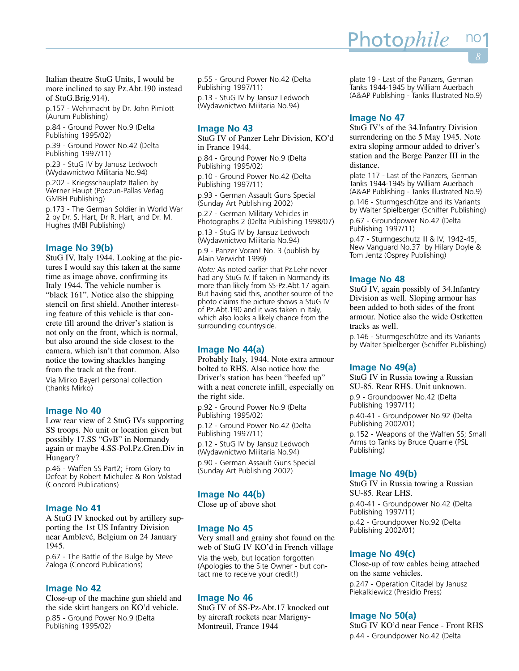Italian theatre StuG Units, I would be more inclined to say Pz.Abt.190 instead of StuG.Brig.914).

p.157 - Wehrmacht by Dr. John Pimlott (Aurum Publishing)

p.84 - Ground Power No.9 (Delta Publishing 1995/02)

p.39 - Ground Power No.42 (Delta Publishing 1997/11)

p.23 - StuG IV by Janusz Ledwoch (Wydawnictwo Militaria No.94)

p.202 - Kriegsschauplatz Italien by Werner Haupt (Podzun-Pallas Verlag GMBH Publishing)

p.173 - The German Soldier in World War 2 by Dr. S. Hart, Dr R. Hart, and Dr. M. Hughes (MBI Publishing)

# **Image No 39(b)**

StuG IV, Italy 1944. Looking at the pictures I would say this taken at the same time as image above, confirming its Italy 1944. The vehicle number is "black 161". Notice also the shipping stencil on first shield. Another interesting feature of this vehicle is that concrete fill around the driver's station is not only on the front, which is normal, but also around the side closest to the camera, which isn't that common. Also notice the towing shackles hanging from the track at the front.

Via Mirko Bayerl personal collection (thanks Mirko)

#### **Image No 40**

Low rear view of 2 StuG IVs supporting SS troops. No unit or location given but possibly 17.SS "GvB" in Normandy again or maybe 4.SS-Pol.Pz.Gren.Div in Hungary?

p.46 - Waffen SS Part2; From Glory to Defeat by Robert Michulec & Ron Volstad (Concord Publications)

### **Image No 41**

A StuG IV knocked out by artillery supporting the 1st US Infantry Division near Amblevé, Belgium on 24 January 1945.

p.67 - The Battle of the Bulge by Steve Zaloga (Concord Publications)

# **Image No 42**

Close-up of the machine gun shield and the side skirt hangers on KO'd vehicle. p.85 - Ground Power No.9 (Delta Publishing 1995/02)

p.55 - Ground Power No.42 (Delta Publishing 1997/11) p.13 - StuG IV by Jansuz Ledwoch

(Wydawnictwo Militaria No.94)

# **Image No 43**

StuG IV of Panzer Lehr Division, KO'd in France 1944.

p.84 - Ground Power No.9 (Delta Publishing 1995/02)

p.10 - Ground Power No.42 (Delta Publishing 1997/11)

p.93 - German Assault Guns Special (Sunday Art Publishing 2002)

p.27 - German Military Vehicles in Photographs 2 (Delta Publishing 1998/07)

p.13 - StuG IV by Jansuz Ledwoch (Wydawnictwo Militaria No.94)

p.9 - Panzer Voran! No. 3 (publish by Alain Verwicht 1999)

*Note:* As noted earlier that Pz.Lehr never had any StuG IV. If taken in Normandy its more than likely from SS-Pz.Abt.17 again. But having said this, another source of the photo claims the picture shows a StuG IV of Pz.Abt.190 and it was taken in Italy, which also looks a likely chance from the surrounding countryside.

# **Image No 44(a)**

Probably Italy, 1944. Note extra armour bolted to RHS. Also notice how the Driver's station has been "beefed up" with a neat concrete infill, especially on the right side.

p.92 - Ground Power No.9 (Delta Publishing 1995/02)

p.12 - Ground Power No.42 (Delta Publishing 1997/11)

p.12 - StuG IV by Jansuz Ledwoch (Wydawnictwo Militaria No.94) p.90 - German Assault Guns Special (Sunday Art Publishing 2002)

# **Image No 44(b)**

Close up of above shot

#### **Image No 45**

Very small and grainy shot found on the web of StuG IV KO'd in French village Via the web, but location forgotten (Apologies to the Site Owner - but contact me to receive your credit!)

#### **Image No 46**

StuG IV of SS-Pz-Abt.17 knocked out by aircraft rockets near Marigny-Montreuil, France 1944

plate 19 - Last of the Panzers, German Tanks 1944-1945 by William Auerbach (A&AP Publishing - Tanks Illustrated No.9)

Photo*phile* 

# **Image No 47**

StuG IV's of the 34.Infantry Division surrendering on the 5 May 1945. Note extra sloping armour added to driver's station and the Berge Panzer III in the distance.

plate 117 - Last of the Panzers, German Tanks 1944-1945 by William Auerbach (A&AP Publishing - Tanks Illustrated No.9) p.146 - Sturmgeschütze and its Variants by Walter Spielberger (Schiffer Publishing)

p.67 - Groundpower No.42 (Delta Publishing 1997/11)

p.47 - Sturmgeschutz III & IV, 1942-45, New Vanguard No.37 by Hilary Doyle & Tom Jentz (Osprey Publishing)

#### **Image No 48**

StuG IV, again possibly of 34.Infantry Division as well. Sloping armour has been added to both sides of the front armour. Notice also the wide Ostketten tracks as well.

p.146 - Sturmgeschütze and its Variants by Walter Spielberger (Schiffer Publishing)

# **Image No 49(a)**

StuG IV in Russia towing a Russian SU-85. Rear RHS. Unit unknown.

p.9 - Groundpower No.42 (Delta Publishing 1997/11)

p.40-41 - Groundpower No.92 (Delta Publishing 2002/01)

p.152 - Weapons of the Waffen SS; Small Arms to Tanks by Bruce Quarrie (PSL Publishing)

# **Image No 49(b)**

StuG IV in Russia towing a Russian SU-85. Rear LHS.

p.40-41 - Groundpower No.42 (Delta Publishing 1997/11)

p.42 - Groundpower No.92 (Delta Publishing 2002/01)

# **Image No 49(c)**

Close-up of tow cables being attached on the same vehicles. p.247 - Operation Citadel by Janusz Piekalkiewicz (Presidio Press)

#### **Image No 50(a)**

StuG IV KO'd near Fence - Front RHS p.44 - Groundpower No.42 (Delta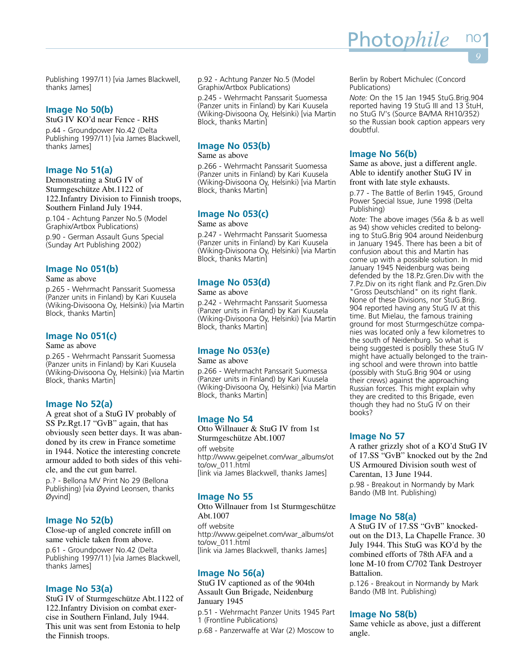Publishing 1997/11) [via James Blackwell, thanks James]

# **Image No 50(b)**

StuG IV KO'd near Fence - RHS p.44 - Groundpower No.42 (Delta Publishing 1997/11) [via James Blackwell, thanks James]

# **Image No 51(a)**

Demonstrating a StuG IV of Sturmgeschütze Abt.1122 of 122.Infantry Division to Finnish troops, Southern Finland July 1944. p.104 - Achtung Panzer No.5 (Model Graphix/Artbox Publications)

p.90 - German Assault Guns Special (Sunday Art Publishing 2002)

# **Image No 051(b)**

#### Same as above

p.265 - Wehrmacht Panssarit Suomessa (Panzer units in Finland) by Kari Kuusela (Wiking-Divisoona Oy, Helsinki) [via Martin Block, thanks Martin]

# **Image No 051(c)**

#### Same as above

p.265 - Wehrmacht Panssarit Suomessa (Panzer units in Finland) by Kari Kuusela (Wiking-Divisoona Oy, Helsinki) [via Martin Block, thanks Martin]

# **Image No 52(a)**

A great shot of a StuG IV probably of SS Pz.Rgt.17 "GvB" again, that has obviously seen better days. It was abandoned by its crew in France sometime in 1944. Notice the interesting concrete armour added to both sides of this vehicle, and the cut gun barrel.

p.? - Bellona MV Print No 29 (Bellona Publishing) [via Øyvind Leonsen, thanks Øyvind]

# **Image No 52(b)**

Close-up of angled concrete infill on same vehicle taken from above.

p.61 - Groundpower No.42 (Delta Publishing 1997/11) [via James Blackwell, thanks James]

# **Image No 53(a)**

StuG IV of Sturmgeschütze Abt.1122 of 122.Infantry Division on combat exercise in Southern Finland, July 1944. This unit was sent from Estonia to help the Finnish troops.

p.92 - Achtung Panzer No.5 (Model Graphix/Artbox Publications)

p.245 - Wehrmacht Panssarit Suomessa (Panzer units in Finland) by Kari Kuusela (Wiking-Divisoona Oy, Helsinki) [via Martin Block, thanks Martin]

# **Image No 053(b)**

Same as above

p.266 - Wehrmacht Panssarit Suomessa (Panzer units in Finland) by Kari Kuusela (Wiking-Divisoona Oy, Helsinki) [via Martin Block, thanks Martin]

# **Image No 053(c)**

# Same as above

p.247 - Wehrmacht Panssarit Suomessa (Panzer units in Finland) by Kari Kuusela (Wiking-Divisoona Oy, Helsinki) [via Martin Block, thanks Martin]

# **Image No 053(d)**

#### Same as above

p.242 - Wehrmacht Panssarit Suomessa (Panzer units in Finland) by Kari Kuusela (Wiking-Divisoona Oy, Helsinki) [via Martin Block, thanks Martin]

# **Image No 053(e)**

#### Same as above

p.266 - Wehrmacht Panssarit Suomessa (Panzer units in Finland) by Kari Kuusela (Wiking-Divisoona Oy, Helsinki) [via Martin Block, thanks Martin]

# **Image No 54**

Otto Willnauer & StuG IV from 1st Sturmgeschütze Abt.1007 off website http://www.geipelnet.com/war\_albums/ot to/ow\_011.html [link via James Blackwell, thanks James]

# **Image No 55**

Otto Willnauer from 1st Sturmgeschütze Abt.1007 off website http://www.geipelnet.com/war\_albums/ot to/ow\_011.html [link via James Blackwell, thanks James]

# **Image No 56(a)**

StuG IV captioned as of the 904th Assault Gun Brigade, Neidenburg January 1945

p.51 - Wehrmacht Panzer Units 1945 Part 1 (Frontline Publications)

p.68 - Panzerwaffe at War (2) Moscow to

Berlin by Robert Michulec (Concord Publications)

Photo*phile* 

*Note:* On the 15 Jan 1945 StuG.Brig.904 reported having 19 StuG III and 13 StuH, no StuG IV's (Source BA/MA RH10/352) so the Russian book caption appears very doubtful.

# **Image No 56(b)**

Same as above, just a different angle. Able to identify another StuG IV in front with late style exhausts.

p.77 - The Battle of Berlin 1945, Ground Power Special Issue, June 1998 (Delta Publishing)

*Note:* The above images (56a & b as well as 94) show vehicles credited to belonging to StuG.Brig 904 around Neidenburg in January 1945. There has been a bit of confusion about this and Martin has come up with a possible solution. In mid January 1945 Neidenburg was being defended by the 18.Pz.Gren.Div with the 7.Pz.Div on its right flank and Pz.Gren.Div "Gross Deutschland" on its right flank. None of these Divisions, nor StuG.Brig. 904 reported having any StuG IV at this time. But Mielau, the famous training ground for most Sturmgeschütze companies was located only a few kilometres to the south of Neidenburg. So what is being suggested is posiblly these StuG IV might have actually belonged to the training school and were thrown into battle (possibly with StuG.Brig 904 or using their crews) against the approaching Russian forces. This might explain why they are credited to this Brigade, even though they had no StuG IV on their books?

# **Image No 57**

A rather grizzly shot of a KO'd StuG IV of 17.SS "GvB" knocked out by the 2nd US Armoured Division south west of Carentan, 13 June 1944. p.98 - Breakout in Normandy by Mark Bando (MB Int. Publishing)

# **Image No 58(a)**

A StuG IV of 17.SS "GvB" knockedout on the D13, La Chapelle France. 30 July 1944. This StuG was KO'd by the combined efforts of 78th AFA and a lone M-10 from C/702 Tank Destroyer Battalion.

p.126 - Breakout in Normandy by Mark Bando (MB Int. Publishing)

# **Image No 58(b)**

Same vehicle as above, just a different angle.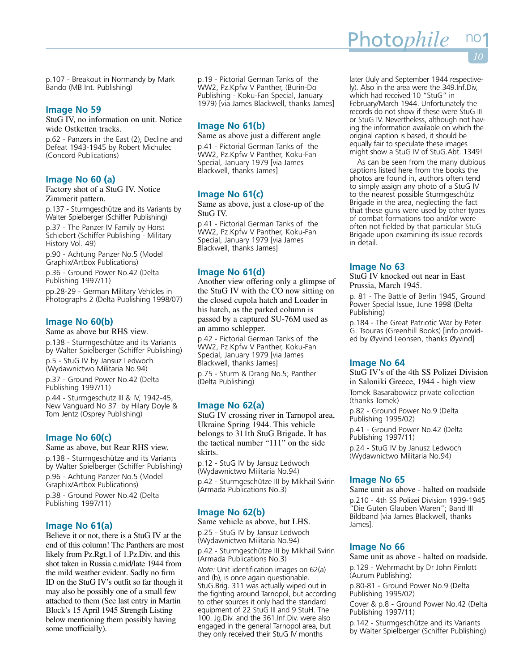p.107 - Breakout in Normandy by Mark Bando (MB Int. Publishing)

# **Image No 59**

StuG IV, no information on unit. Notice wide Ostketten tracks.

p.62 - Panzers in the East (2), Decline and Defeat 1943-1945 by Robert Michulec (Concord Publications)

# **Image No 60 (a)**

Factory shot of a StuG IV. Notice Zimmerit pattern.

p.137 - Sturmgeschütze and its Variants by Walter Spielberger (Schiffer Publishing)

p.37 - The Panzer IV Family by Horst Schiebert (Schiffer Publishing - Military History Vol. 49)

p.90 - Achtung Panzer No.5 (Model Graphix/Artbox Publications)

p.36 - Ground Power No.42 (Delta Publishing 1997/11)

pp.28-29 - German Military Vehicles in Photographs 2 (Delta Publishing 1998/07)

# **Image No 60(b)**

Same as above but RHS view.

p.138 - Sturmgeschütze and its Variants by Walter Spielberger (Schiffer Publishing)

p.5 - StuG IV by Jansuz Ledwoch (Wydawnictwo Militaria No.94)

p.37 - Ground Power No.42 (Delta Publishing 1997/11)

p.44 - Sturmgeschutz III & IV, 1942-45, New Vanguard No 37 by Hilary Doyle & Tom Jentz (Osprey Publishing)

#### **Image No 60(c)**

Same as above, but Rear RHS view. p.138 - Sturmgeschütze and its Variants by Walter Spielberger (Schiffer Publishing) p.96 - Achtung Panzer No.5 (Model Graphix/Artbox Publications)

p.38 - Ground Power No.42 (Delta Publishing 1997/11)

# **Image No 61(a)**

Believe it or not, there is a StuG IV at the end of this column! The Panthers are most likely from Pz.Rgt.1 of 1.Pz.Div. and this shot taken in Russia c.mid/late 1944 from the mild weather evident. Sadly no firm ID on the StuG IV's outfit so far though it may also be possibly one of a small few attached to them (See last entry in Martin Block's 15 April 1945 Strength Listing below mentioning them possibly having some unofficially).

p.19 - Pictorial German Tanks of the WW2, Pz.Kpfw V Panther, (Burin-Do Publishing - Koku-Fan Special, January 1979) [via James Blackwell, thanks James]

# **Image No 61(b)**

Same as above just a different angle p.41 - Pictorial German Tanks of the

WW2, Pz.Kpfw V Panther, Koku-Fan Special, January 1979 [via James Blackwell, thanks James]

# **Image No 61(c)**

Same as above, just a close-up of the StuG IV.

p.41 - Pictorial German Tanks of the WW2, Pz.Kpfw V Panther, Koku-Fan Special, January 1979 [via James Blackwell, thanks James]

# **Image No 61(d)**

Another view offering only a glimpse of the StuG IV with the CO now sitting on the closed cupola hatch and Loader in his hatch, as the parked column is passed by a captured SU-76M used as an ammo schlepper.

p.42 - Pictorial German Tanks of the WW2, Pz.Kpfw V Panther, Koku-Fan Special, January 1979 [via James Blackwell, thanks James]

p.75 - Sturm & Drang No.5; Panther (Delta Publishing)

# **Image No 62(a)**

StuG IV crossing river in Tarnopol area, Ukraine Spring 1944. This vehicle belongs to 311th StuG Brigade. It has the tactical number "111" on the side skirts.

p.12 - StuG IV by Jansuz Ledwoch (Wydawnictwo Militaria No.94) p.42 - Sturmgeschütze III by Mikhail Svirin (Armada Publications No.3)

# **Image No 62(b)**

Same vehicle as above, but LHS. p.25 - StuG IV by Jansuz Ledwoch

(Wydawnictwo Militaria No.94)

p.42 - Sturmgeschütze III by Mikhail Svirin (Armada Publications No.3)

*Note:* Unit identification images on 62(a) and (b), is once again questionable. StuG.Brig. 311 was actually wiped out in the fighting around Tarnopol, but according to other sources it only had the standard equipment of 22 StuG III and 9 StuH. The 100. Jg.Div. and the 361.Inf.Div. were also engaged in the general Tarnopol area, but they only received their StuG IV months

later (July and September 1944 respectively). Also in the area were the 349.Inf.Div, which had received 10 "StuG" in February/March 1944. Unfortunately the records do not show if these were StuG III or StuG IV. Nevertheless, although not having the information available on which the original caption is based, it should be equally fair to speculate these images might show a StuG IV of StuG.Abt. 1349!

As can be seen from the many dubious captions listed here from the books the photos are found in, authors often tend to simply assign any photo of a StuG IV to the nearest possible Sturmgeschütz Brigade in the area, neglecting the fact that these guns were used by other types of combat formations too and/or were often not fielded by that particular StuG Brigade upon examining its issue records in detail.

# **Image No 63**

StuG IV knocked out near in East Prussia, March 1945.

p. 81 - The Battle of Berlin 1945, Ground Power Special Issue, June 1998 (Delta Publishing)

p.184 - The Great Patriotic War by Peter G. Tsouras (Greenhill Books) [info provided by Øyvind Leonsen, thanks Øyvind]

# **Image No 64**

StuG IV's of the 4th SS Polizei Division in Saloniki Greece, 1944 - high view Tomek Basarabowicz private collection (thanks Tomek)

p.82 - Ground Power No.9 (Delta Publishing 1995/02)

p.41 - Ground Power No.42 (Delta Publishing 1997/11)

p.24 - StuG IV by Janusz Ledwoch (Wydawnictwo Militaria No.94)

# **Image No 65**

Same unit as above - halted on roadside p.210 - 4th SS Polizei Division 1939-1945 "Die Guten Glauben Waren"; Band III Bildband [via James Blackwell, thanks James].

#### **Image No 66**

Same unit as above - halted on roadside. p.129 - Wehrmacht by Dr John Pimlott

(Aurum Publishing)

p.80-81 - Ground Power No.9 (Delta Publishing 1995/02)

Cover & p.8 - Ground Power No.42 (Delta Publishing 1997/11)

p.142 - Sturmgeschütze and its Variants by Walter Spielberger (Schiffer Publishing)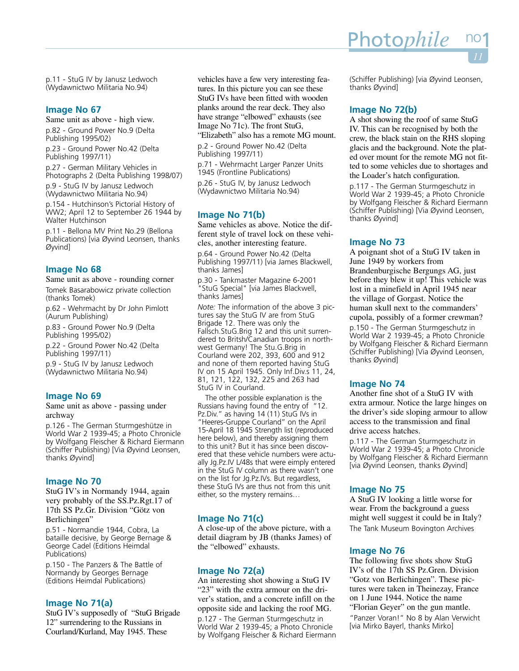p.11 - StuG IV by Janusz Ledwoch (Wydawnictwo Militaria No.94)

# **Image No 67**

Same unit as above - high view. p.82 - Ground Power No.9 (Delta Publishing 1995/02)

p.23 - Ground Power No.42 (Delta Publishing 1997/11)

p.27 - German Military Vehicles in Photographs 2 (Delta Publishing 1998/07)

p.9 - StuG IV by Janusz Ledwoch (Wydawnictwo Militaria No.94)

p.154 - Hutchinson's Pictorial History of WW2; April 12 to September 26 1944 by Walter Hutchinson

p.11 - Bellona MV Print No.29 (Bellona Publications) [via Øyvind Leonsen, thanks Øyvind]

# **Image No 68**

Same unit as above - rounding corner Tomek Basarabowicz private collection (thanks Tomek)

p.62 - Wehrmacht by Dr John Pimlott (Aurum Publishing)

p.83 - Ground Power No.9 (Delta Publishing 1995/02)

p.22 - Ground Power No.42 (Delta Publishing 1997/11)

p.9 - StuG IV by Janusz Ledwoch (Wydawnictwo Militaria No.94)

# **Image No 69**

Same unit as above - passing under archway

p.126 - The German Sturmgeshütze in World War 2 1939-45; a Photo Chronicle by Wolfgang Fleischer & Richard Eiermann (Schiffer Publishing) [Via Øyvind Leonsen, thanks Øyvind]

#### **Image No 70**

StuG IV's in Normandy 1944, again very probably of the SS.Pz.Rgt.17 of 17th SS Pz.Gr. Division "Götz von Berlichingen"

p.51 - Normandie 1944, Cobra, La bataille decisive, by George Bernage & George Cadel (Editions Heimdal Publications)

p.150 - The Panzers & The Battle of Normandy by Georges Bernage (Editions Heimdal Publications)

### **Image No 71(a)**

StuG IV's supposedly of "StuG Brigade 12" surrendering to the Russians in Courland/Kurland, May 1945. These

vehicles have a few very interesting features. In this picture you can see these StuG IVs have been fitted with wooden planks around the rear deck. They also have strange "elbowed" exhausts (see Image No 71c). The front StuG, "Elizabeth" also has a remote MG mount.

p.2 - Ground Power No.42 (Delta Publishing 1997/11)

p.71 - Wehrmacht Larger Panzer Units 1945 (Frontline Publications) p.26 - StuG IV, by Janusz Ledwoch (Wydawnictwo Militaria No.94)

# **Image No 71(b)**

Same vehicles as above. Notice the different style of travel lock on these vehicles, another interesting feature.

p.64 - Ground Power No.42 (Delta Publishing 1997/11) [via James Blackwell, thanks James]

p.30 - Tankmaster Magazine 6-2001 "StuG Special" [via James Blackwell, thanks James]

*Note:* The information of the above 3 pictures say the StuG IV are from StuG Brigade 12. There was only the Fallsch.StuG.Brig 12 and this unit surrendered to Britsh/Canadian troops in northwest Germany! The Stu.G.Brig in Courland were 202, 393, 600 and 912 and none of them reported having StuG IV on 15 April 1945. Only Inf.Div.s 11, 24, 81, 121, 122, 132, 225 and 263 had StuG IV in Courland.

The other possible explanation is the Russians having found the entry of "12. Pz.Div." as having 14 (11) StuG IVs in "Heeres-Gruppe Courland" on the April 15-April 18 1945 Strength list (reproduced here below), and thereby assigning them to this unit? But it has since been discovered that these vehicle numbers were actually Jg.Pz.IV L/48s that were eimply entered in the StuG IV column as there wasn't one on the list for Jg.Pz.IVs. But regardless, these StuG IVs are thus not from this unit either, so the mystery remains…

#### **Image No 71(c)**

A close-up of the above picture, with a detail diagram by JB (thanks James) of the "elbowed" exhausts.

#### **Image No 72(a)**

An interesting shot showing a StuG IV "23" with the extra armour on the driver's station, and a concrete infill on the opposite side and lacking the roof MG. p.127 - The German Sturmgeschutz in World War 2 1939-45; a Photo Chronicle by Wolfgang Fleischer & Richard Eiermann (Schiffer Publishing) [via Øyvind Leonsen, thanks Øyvind]

# **Image No 72(b)**

A shot showing the roof of same StuG IV. This can be recognised by both the crew, the black stain on the RHS sloping glacis and the background. Note the plated over mount for the remote MG not fitted to some vehicles due to shortages and the Loader's hatch configuration.

p.117 - The German Sturmgeschutz in World War 2 1939-45; a Photo Chronicle by Wolfgang Fleischer & Richard Eiermann (Schiffer Publishing) [Via Øyvind Leonsen, thanks Øyvind]

#### **Image No 73**

A poignant shot of a StuG IV taken in June 1949 by workers from Brandenburgische Bergungs AG, just before they blew it up! This vehicle was lost in a minefield in April 1945 near the village of Gorgast. Notice the human skull next to the commanders' cupola, possibly of a former crewman? p.150 - The German Sturmgeschutz in World War 2 1939-45; a Photo Chronicle by Wolfgang Fleischer & Richard Eiermann (Schiffer Publishing) [Via Øyvind Leonsen,

#### **Image No 74**

thanks Øyvind]

Another fine shot of a StuG IV with extra armour. Notice the large hinges on the driver's side sloping armour to allow access to the transmission and final drive access hatches.

p.117 - The German Sturmgeschutz in World War 2 1939-45; a Photo Chronicle by Wolfgang Fleischer & Richard Eiermann [via Øyvind Leonsen, thanks Øyvind]

# **Image No 75**

A StuG IV looking a little worse for wear. From the background a guess might well suggest it could be in Italy? The Tank Museum Bovington Archives

#### **Image No 76**

The following five shots show StuG IV's of the 17th SS Pz.Gren. Division "Gotz von Berlichingen". These pictures were taken in Theinezay, France on 1 June 1944. Notice the name "Florian Geyer" on the gun mantle.

"Panzer Voran!" No 8 by Alan Verwicht [via Mirko Bayerl, thanks Mirko]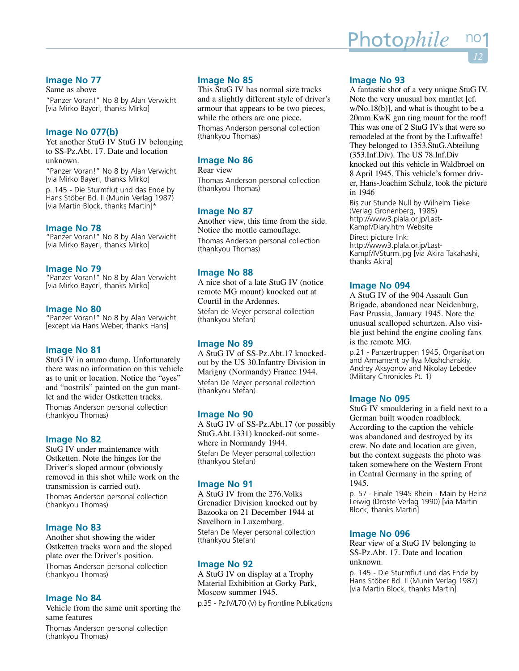# **Image No 77**

Same as above "Panzer Voran!" No 8 by Alan Verwicht [via Mirko Bayerl, thanks Mirko]

# **Image No 077(b)**

Yet another StuG IV StuG IV belonging to SS-Pz.Abt. 17. Date and location unknown.

"Panzer Voran!" No 8 by Alan Verwicht [via Mirko Bayerl, thanks Mirko]

p. 145 - Die Sturmflut und das Ende by Hans Stöber Bd. II (Munin Verlag 1987) [via Martin Block, thanks Martin]\*

# **Image No 78**

"Panzer Voran!" No 8 by Alan Verwicht [via Mirko Bayerl, thanks Mirko]

# **Image No 79**

"Panzer Voran!" No 8 by Alan Verwicht [via Mirko Bayerl, thanks Mirko]

# **Image No 80**

"Panzer Voran!" No 8 by Alan Verwicht [except via Hans Weber, thanks Hans]

# **Image No 81**

StuG IV in ammo dump. Unfortunately there was no information on this vehicle as to unit or location. Notice the "eyes" and "nostrils" painted on the gun mantlet and the wider Ostketten tracks. Thomas Anderson personal collection (thankyou Thomas)

# **Image No 82**

StuG IV under maintenance with Ostketten. Note the hinges for the Driver's sloped armour (obviously removed in this shot while work on the transmission is carried out). Thomas Anderson personal collection (thankyou Thomas)

#### **Image No 83**

Another shot showing the wider Ostketten tracks worn and the sloped plate over the Driver's position. Thomas Anderson personal collection (thankyou Thomas)

# **Image No 84**

Vehicle from the same unit sporting the same features

Thomas Anderson personal collection (thankyou Thomas)

# **Image No 85**

This StuG IV has normal size tracks and a slightly different style of driver's armour that appears to be two pieces, while the others are one piece. Thomas Anderson personal collection (thankyou Thomas)

# **Image No 86**

Rear view Thomas Anderson personal collection (thankyou Thomas)

# **Image No 87**

Another view, this time from the side. Notice the mottle camouflage. Thomas Anderson personal collection (thankyou Thomas)

# **Image No 88**

A nice shot of a late StuG IV (notice remote MG mount) knocked out at Courtil in the Ardennes. Stefan de Meyer personal collection (thankyou Stefan)

#### **Image No 89**

A StuG IV of SS-Pz.Abt.17 knockedout by the US 30.Infantry Division in Marigny (Normandy) France 1944. Stefan De Meyer personal collection (thankyou Stefan)

### **Image No 90**

A StuG IV of SS-Pz.Abt.17 (or possibly StuG.Abt.1331) knocked-out somewhere in Normandy 1944. Stefan De Meyer personal collection (thankyou Stefan)

# **Image No 91**

A StuG IV from the 276.Volks Grenadier Division knocked out by Bazooka on 21 December 1944 at Savelborn in Luxemburg.

Stefan De Meyer personal collection (thankyou Stefan)

#### **Image No 92**

A StuG IV on display at a Trophy Material Exhibition at Gorky Park, Moscow summer 1945. p.35 - Pz.IV/L70 (V) by Frontline Publications

# **Image No 93**

A fantastic shot of a very unique StuG IV. Note the very unusual box mantlet [cf. w/No.18(b)], and what is thought to be a 20mm KwK gun ring mount for the roof! This was one of 2 StuG IV's that were so remodeled at the front by the Luftwaffe! They belonged to 1353.StuG.Abteilung (353.Inf.Div). The US 78.Inf.Div knocked out this vehicle in Waldbroel on 8 April 1945. This vehicle's former driver, Hans-Joachim Schulz, took the picture in 1946

Bis zur Stunde Null by Wilhelm Tieke (Verlag Gronenberg, 1985) http://www3.plala.or.jp/Last-Kampf/Diary.htm Website Direct picture link: http://www3.plala.or.jp/Last-Kampf/IVSturm.jpg [via Akira Takahashi, thanks Akira]

# **Image No 094**

A StuG IV of the 904 Assault Gun Brigade, abandoned near Neidenburg, East Prussia, January 1945. Note the unusual scalloped schurtzen. Also visible just behind the engine cooling fans is the remote MG.

p.21 - Panzertruppen 1945, Organisation and Armament by Ilya Moshchanskiy, Andrey Aksyonov and Nikolay Lebedev (Military Chronicles Pt. 1)

# **Image No 095**

StuG IV smouldering in a field next to a German built wooden roadblock. According to the caption the vehicle was abandoned and destroyed by its crew. No date and location are given, but the context suggests the photo was taken somewhere on the Western Front in Central Germany in the spring of 1945.

p. 57 - Finale 1945 Rhein - Main by Heinz Leiwig (Droste Verlag 1990) [via Martin Block, thanks Martin]

#### **Image No 096**

Rear view of a StuG IV belonging to SS-Pz.Abt. 17. Date and location unknown.

p. 145 - Die Sturmflut und das Ende by Hans Stöber Bd. II (Munin Verlag 1987) [via Martin Block, thanks Martin]

# <u>Photo*phile* n</u>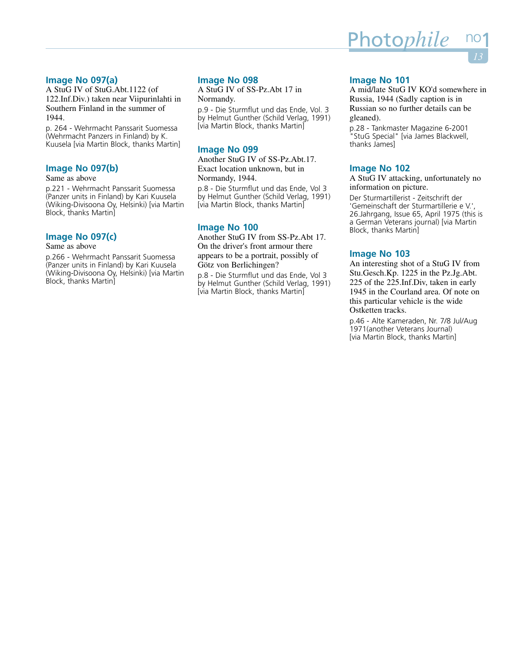# **Image No 097(a)**

A StuG IV of StuG.Abt.1122 (of 122.Inf.Div.) taken near Viipurinlahti in Southern Finland in the summer of 1944.

p. 264 - Wehrmacht Panssarit Suomessa (Wehrmacht Panzers in Finland) by K. Kuusela [via Martin Block, thanks Martin]

# **Image No 097(b)**

# Same as above

p.221 - Wehrmacht Panssarit Suomessa (Panzer units in Finland) by Kari Kuusela (Wiking-Divisoona Oy, Helsinki) [via Martin Block, thanks Martin]

# **Image No 097(c)**

# Same as above

p.266 - Wehrmacht Panssarit Suomessa (Panzer units in Finland) by Kari Kuusela (Wiking-Divisoona Oy, Helsinki) [via Martin Block, thanks Martin]

# **Image No 098**

A StuG IV of SS-Pz.Abt 17 in Normandy.

p.9 - Die Sturmflut und das Ende, Vol. 3 by Helmut Gunther (Schild Verlag, 1991) [via Martin Block, thanks Martin]

# **Image No 099**

Another StuG IV of SS-Pz.Abt.17. Exact location unknown, but in Normandy, 1944.

p.8 - Die Sturmflut und das Ende, Vol 3 by Helmut Gunther (Schild Verlag, 1991) [via Martin Block, thanks Martin]

# **Image No 100**

Another StuG IV from SS-Pz.Abt 17. On the driver's front armour there appears to be a portrait, possibly of Götz von Berlichingen?

p.8 - Die Sturmflut und das Ende, Vol 3 by Helmut Gunther (Schild Verlag, 1991) [via Martin Block, thanks Martin]

# **Image No 101**

A mid/late StuG IV KO'd somewhere in Russia, 1944 (Sadly caption is in Russian so no further details can be gleaned).

p.28 - Tankmaster Magazine 6-2001 "StuG Special" [via James Blackwell, thanks James]

# **Image No 102**

A StuG IV attacking, unfortunately no information on picture.

Der Sturmartillerist - Zeitschrift der 'Gemeinschaft der Sturmartillerie e V.', 26.Jahrgang, Issue 65, April 1975 (this is a German Veterans journal) [via Martin Block, thanks Martin]

# **Image No 103**

An interesting shot of a StuG IV from Stu.Gesch.Kp. 1225 in the Pz.Jg.Abt. 225 of the 225.Inf.Div, taken in early 1945 in the Courland area. Of note on this particular vehicle is the wide Ostketten tracks.

p.46 - Alte Kameraden, Nr. 7/8 Jul/Aug 1971(another Veterans Journal) [via Martin Block, thanks Martin]

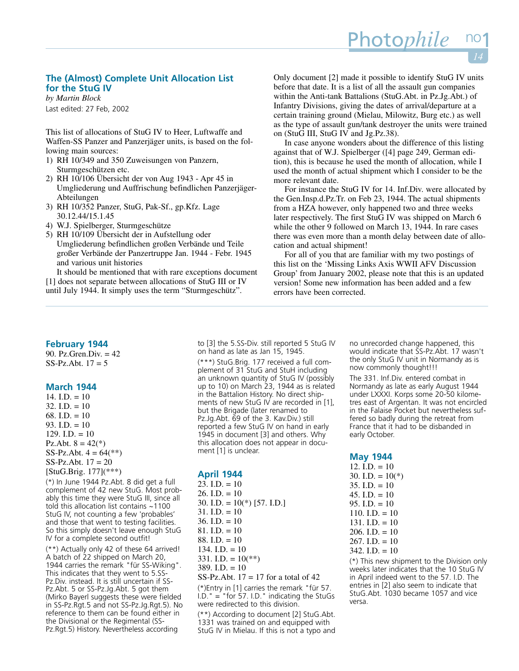# **The (Almost) Complete Unit Allocation List for the StuG IV**

*by Martin Block* Last edited: 27 Feb, 2002

This list of allocations of StuG IV to Heer, Luftwaffe and Waffen-SS Panzer and Panzerjäger units, is based on the following main sources:

- 1) RH 10/349 and 350 Zuweisungen von Panzern, Sturmgeschützen etc.
- 2) RH 10/106 Übersicht der von Aug 1943 Apr 45 in Umgliederung und Auffrischung befindlichen Panzerjäger-Abteilungen
- 3) RH 10/352 Panzer, StuG, Pak-Sf., gp.Kfz. Lage 30.12.44/15.1.45
- 4) W.J. Spielberger, Sturmgeschütze
- 5) RH 10/109 Übersicht der in Aufstellung oder Umgliederung befindlichen großen Verbände und Teile großer Verbände der Panzertruppe Jan. 1944 - Febr. 1945 and various unit histories

It should be mentioned that with rare exceptions document [1] does not separate between allocations of StuG III or IV until July 1944. It simply uses the term "Sturmgeschütz".

Only document [2] made it possible to identify StuG IV units before that date. It is a list of all the assault gun companies within the Anti-tank Battalions (StuG.Abt. in Pz.Jg.Abt.) of Infantry Divisions, giving the dates of arrival/departure at a certain training ground (Mielau, Milowitz, Burg etc.) as well as the type of assault gun/tank destroyer the units were trained on (StuG III, StuG IV and Jg.Pz.38).

Photo*phile* 

In case anyone wonders about the difference of this listing against that of W.J. Spielberger ([4] page 249, German edition), this is because he used the month of allocation, while I used the month of actual shipment which I consider to be the more relevant date.

For instance the StuG IV for 14. Inf.Div. were allocated by the Gen.Insp.d.Pz.Tr. on Feb 23, 1944. The actual shipments from a HZA however, only happened two and three weeks later respectively. The first StuG IV was shipped on March 6 while the other 9 followed on March 13, 1944. In rare cases there was even more than a month delay between date of allocation and actual shipment!

For all of you that are familiar with my two postings of this list on the 'Missing Links Axis WWII AFV Discussion Group' from January 2002, please note that this is an updated version! Some new information has been added and a few errors have been corrected.

# **February 1944**

90. Pz.Gren.Div. = 42 SS-Pz.Abt. 17 = 5

# **March 1944**

14. I.D.  $= 10$  $32. I.D. = 10$ 68. I.D.  $= 10$ 93. I.D.  $= 10$ 129. I.D.  $= 10$ Pz.Abt.  $8 = 42(*)$ SS-Pz.Abt.  $4 = 64$ <sup>(\*\*)</sup>) SS-Pz.Abt. 17 = 20 [StuG.Brig. 177](\*\*\*)

(\*) In June 1944 Pz.Abt. 8 did get a full complement of 42 new StuG. Most probably this time they were StuG III, since all told this allocation list contains ~1100 StuG IV, not counting a few 'probables' and those that went to testing facilities. So this simply doesn't leave enough StuG IV for a complete second outfit!

(\*\*) Actually only 42 of these 64 arrived! A batch of 22 shipped on March 20, 1944 carries the remark "für SS-Wiking". This indicates that they went to 5.SS-Pz.Div. instead. It is still uncertain if SS-Pz.Abt. 5 or SS-Pz.Jg.Abt. 5 got them (Mirko Bayerl suggests these were fielded in SS-Pz.Rgt.5 and not SS-Pz.Jg.Rgt.5). No reference to them can be found either in the Divisional or the Regimental (SS-Pz.Rgt.5) History. Nevertheless according

to [3] the 5.SS-Div. still reported 5 StuG IV on hand as late as Jan 15, 1945.

(\*\*\*) StuG.Brig. 177 received a full complement of 31 StuG and StuH including an unknown quantity of StuG IV (possibly up to 10) on March 23, 1944 as is related in the Battalion History. No direct shipments of new StuG IV are recorded in [1], but the Brigade (later renamed to Pz.Jg.Abt. 69 of the 3. Kav.Div.) still reported a few StuG IV on hand in early 1945 in document [3] and others. Why this allocation does not appear in document [1] is unclear.

#### **April 1944**

- $23.$  I.D. = 10
- 26. I.D.  $= 10$
- 30. I.D. =  $10(*)$  [57. I.D.]
- $31.$  I.D. = 10
- 36. I.D.  $= 10$
- 81. I.D. = 10
- 88. I.D. = 10
- 134. I.D.  $= 10$
- 331. I.D. =  $10(**)$
- $389.$  I.D. = 10
- SS-Pz.Abt.  $17 = 17$  for a total of 42

(\*)Entry in [1] carries the remark "für 57.  $I.D.$  = "for 57. I.D." indicating the StuGs were redirected to this division.

(\*\*) According to document [2] StuG.Abt. 1331 was trained on and equipped with StuG IV in Mielau. If this is not a typo and no unrecorded change happened, this would indicate that SS-Pz.Abt. 17 wasn't the only StuG IV unit in Normandy as is now commonly thought!!!

The 331. Inf.Div. entered combat in Normandy as late as early August 1944 under LXXXI. Korps some 20-50 kilometres east of Argentan. It was not encircled in the Falaise Pocket but nevertheless suffered so badly during the retreat from France that it had to be disbanded in early October.

# **May 1944**

| 12. $I.D. = 10$    |
|--------------------|
| 30. I.D. = $10(*)$ |
| $35. I.D. = 10$    |
| $45. I.D. = 10$    |
| 95. I.D. $=10$     |
| $110.$ I.D. = 10   |
| $131.$ I.D. = 10   |
| 206. I.D. = $10$   |
| 267. I.D. = $10$   |
| 342. I.D. $= 10$   |
|                    |

(\*) This new shipment to the Division only weeks later indicates that the 10 StuG IV in April indeed went to the 57. I.D. The entries in [2] also seem to indicate that StuG.Abt. 1030 became 1057 and vice versa.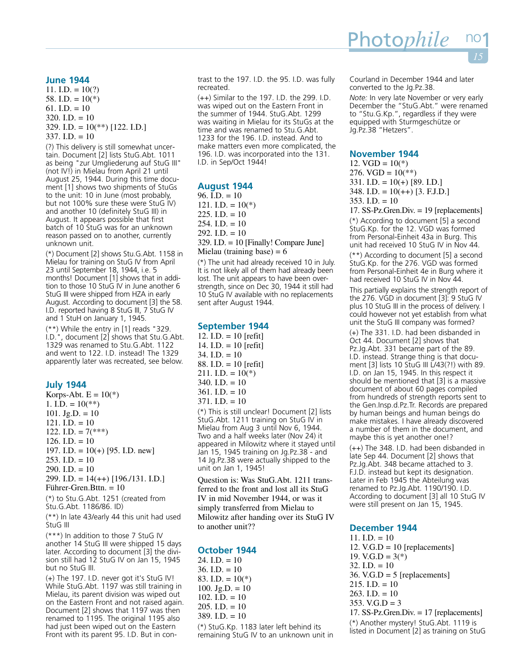#### **June 1944**

11. I.D.  $= 10(?)$ 58. I.D. =  $10(*)$ 61. I.D.  $= 10$  $320.$  I.D. = 10 329. I.D. =  $10(**)$  [122. I.D.]  $337.$  I.D. = 10

(?) This delivery is still somewhat uncertain. Document [2] lists StuG.Abt. 1011 as being "zur Umgliederung auf StuG III" (not IV!) in Mielau from April 21 until August 25, 1944. During this time document [1] shows two shipments of StuGs to the unit: 10 in June (most probably, but not 100% sure these were StuG IV) and another 10 (definitely StuG III) in August. It appears possible that first batch of 10 StuG was for an unknown reason passed on to another, currently unknown unit.

(\*) Document [2] shows Stu.G.Abt. 1158 in Mielau for training on StuG IV from April 23 until September 18, 1944, i.e. 5 months! Document [1] shows that in addition to those 10 StuG IV in June another 6 StuG III were shipped from HZA in early August. According to document [3] the 58. I.D. reported having 8 StuG III, 7 StuG IV and 1 StuH on January 1, 1945.

(\*\*) While the entry in [1] reads "329. I.D.", document [2] shows that Stu.G.Abt. 1329 was renamed to Stu.G.Abt. 1122 and went to 122. I.D. instead! The 1329 apparently later was recreated, see below.

# **July 1944**

Korps-Abt.  $E = 10(*)$ 1. I.D. =  $10(**)$ 101. Jg.D.  $= 10$ 121. I.D.  $= 10$ 122. I.D. =  $7$ <sup>\*\*\*</sup>) 126. I.D.  $= 10$ 197. I.D. =  $10(+)$  [95. I.D. new] 253. I.D.  $= 10$ 290. I.D.  $= 10$ 299. I.D. =  $14(++)$  [196./131. I.D.] Führer-Gren.Bttn. = 10

(\*) to Stu.G.Abt. 1251 (created from Stu.G.Abt. 1186/86. ID)

(\*\*) In late 43/early 44 this unit had used StuG III

(\*\*\*) In addition to those 7 StuG IV another 14 StuG III were shipped 15 days later. According to document [3] the division still had 12 StuG IV on Jan 15, 1945 but no StuG III.

(+) The 197. I.D. never got it's StuG IV! While StuG.Abt. 1197 was still training in Mielau, its parent division was wiped out on the Eastern Front and not raised again. Document [2] shows that 1197 was then renamed to 1195. The original 1195 also had just been wiped out on the Eastern Front with its parent 95. I.D. But in contrast to the 197. I.D. the 95. I.D. was fully recreated.

(++) Similar to the 197. I.D. the 299. I.D. was wiped out on the Eastern Front in the summer of 1944. StuG.Abt. 1299 was waiting in Mielau for its StuGs at the time and was renamed to Stu.G.Abt. 1233 for the 196. I.D. instead. And to make matters even more complicated, the 196. I.D. was incorporated into the 131. I.D. in Sep/Oct 1944!

# **August 1944**

96. I.D.  $= 10$ 121. I.D. =  $10(*)$  $225$ . I.D. = 10  $254$ . I.D. = 10 292. I.D.  $= 10$ 329. I.D. = 10 [Finally! Compare June] Mielau (training base) =  $6$ 

(\*) The unit had already received 10 in July. It is not likely all of them had already been lost. The unit appears to have been overstrength, since on Dec 30, 1944 it still had 10 StuG IV available with no replacements sent after August 1944.

# **September 1944**

12. I.D.  $= 10$  [refit] 14. I.D.  $= 10$  [refit]  $34.$  I.D. = 10 88. I.D. = 10 [refit] 211. I.D. =  $10(*)$  $340.$  I.D. = 10  $361.$  I.D. = 10  $371.$  I.D. = 10 (\*) This is still unclear! Document [2] lists StuG.Abt. 1211 training on StuG IV in

Mielau from Aug 3 until Nov 6, 1944. Two and a half weeks later (Nov 24) it appeared in Milowitz where it stayed until Jan 15, 1945 training on Jg.Pz.38 - and 14 Jg.Pz.38 were actually shipped to the unit on Jan 1, 1945!

Question is: Was StuG.Abt. 1211 transferred to the front and lost all its StuG IV in mid November 1944, or was it simply transferred from Mielau to Milowitz after handing over its StuG IV to another unit??

# **October 1944**

 $24. I.D. = 10$ 36. I.D.  $= 10$ 83. I.D. =  $10(*)$ 100. Jg.D.  $= 10$ 102. I.D.  $= 10$ 205. I.D.  $= 10$ 389. I.D.  $= 10$ (\*) StuG.Kp. 1183 later left behind its remaining StuG IV to an unknown unit in Courland in December 1944 and later converted to the Jg.Pz.38.

*Note:* In very late November or very early December the "StuG.Abt." were renamed to "Stu.G.Kp.", regardless if they were equipped with Sturmgeschütze or Jg.Pz.38 "Hetzers".

#### **November 1944**

12.  $VGD = 10(*)$ 276. VGD =  $10(**)$ 331. I.D. =  $10(+)$  [89. I.D.] 348. I.D. =  $10(++)$  [3. F.J.D.] 353. I.D.  $= 10$ 

17. SS-Pz.Gren.Div. = 19 [replacements]

(\*) According to document [5] a second StuG.Kp. for the 12. VGD was formed from Personal-Einheit 43a in Burg. This unit had received 10 StuG IV in Nov 44.

(\*\*) According to document [5] a second StuG.Kp. for the 276. VGD was formed from Personal-Einheit 4e in Burg where it had received 10 StuG IV in Nov 44.

This partially explains the strength report of the 276. VGD in document [3]: 9 StuG IV plus 10 StuG III in the process of delivery. I could however not yet establish from what unit the StuG III company was formed?

(+) The 331. I.D. had been disbanded in Oct 44. Document [2] shows that Pz.Jg.Abt. 331 became part of the 89. I.D. instead. Strange thing is that document [3] lists 10 StuG III L/43(?!) with 89. I.D. on Jan 15, 1945. In this respect it should be mentioned that [3] is a massive document of about 60 pages compiled from hundreds of strength reports sent to the Gen.Insp.d.Pz.Tr. Records are prepared by human beings and human beings do make mistakes. I have already discovered a number of them in the document, and maybe this is yet another one!?

(++) The 348. I.D. had been disbanded in late Sep 44. Document [2] shows that Pz.Jg.Abt. 348 became attached to 3. F.J.D. instead but kept its designation. Later in Feb 1945 the Abteilung was renamed to Pz.Jg.Abt. 1190/190. I.D. According to document [3] all 10 StuG IV were still present on Jan 15, 1945.

# **December 1944**

11. I.D.  $= 10$ 12. V.G.D = 10 [replacements] 19. V.G.D =  $3(*)$  $32.$  I.D. = 10 36. V.G.D =  $5$  [replacements]  $215.$  I.D. = 10 263. I.D.  $= 10$  $353. V.G.D = 3$ 17. SS-Pz.Gren.Div. = 17 [replacements]

(\*) Another mystery! StuG.Abt. 1119 is listed in Document [2] as training on StuG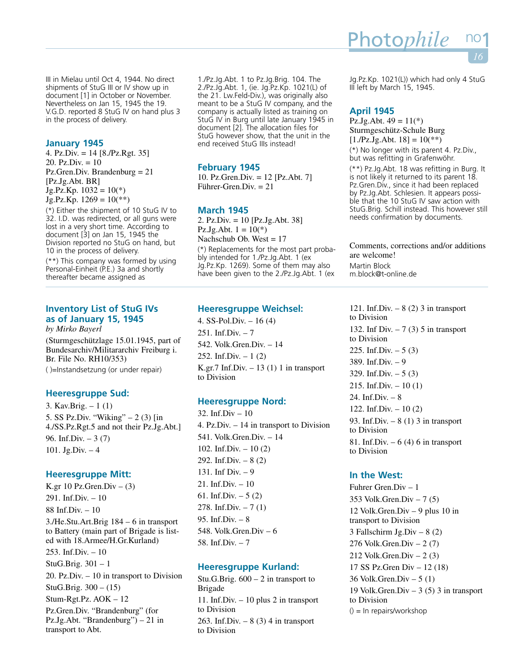III in Mielau until Oct 4, 1944. No direct shipments of StuG III or IV show up in document [1] in October or November. Nevertheless on Jan 15, 1945 the 19. V.G.D. reported 8 StuG IV on hand plus 3 in the process of delivery.

# **January 1945**

4. Pz.Div. = 14 [8./Pz.Rgt. 35] 20. Pz.Div.  $= 10$ Pz.Gren.Div. Brandenburg = 21 [Pz.Jg.Abt. BR]  $Jg.Pz.Kp.$  1032 = 10(\*)  $Jg.Pz.Kp. 1269 = 10(**)$ 

(\*) Either the shipment of 10 StuG IV to 32. I.D. was redirected, or all guns were lost in a very short time. According to document [3] on Jan 15, 1945 the Division reported no StuG on hand, but 10 in the process of delivery.

(\*\*) This company was formed by using Personal-Einheit (P.E.) 3a and shortly thereafter became assigned as

# **Inventory List of StuG IVs as of January 15, 1945**

*by Mirko Bayerl* (Sturmgeschützlage 15.01.1945, part of Bundesarchiv/Militararchiv Freiburg i. Br. File No. RH10/353) ( )=Instandsetzung (or under repair)

# **Heeresgruppe Sud:**

3. Kav.Brig. – 1 (1) 5. SS Pz.Div. "Wiking" – 2 (3) [in 4./SS.Pz.Rgt.5 and not their Pz.Jg.Abt.] 96. Inf.Div. – 3 (7) 101. Jg.Div. – 4

# **Heeresgruppe Mitt:**

K.gr 10 Pz.Gren.Div  $-$  (3) 291. Inf.Div. – 10 88 Inf.Div. – 10 3./He.Stu.Art.Brig 184 – 6 in transport to Battery (main part of Brigade is listed with 18.Armee/H.Gr.Kurland) 253. Inf.Div.  $-10$ StuG.Brig. 301 – 1 20. Pz.Div. – 10 in transport to Division StuG.Brig. 300 – (15) Stum-Rgt.Pz. AOK – 12 Pz.Gren.Div. "Brandenburg" (for Pz.Jg.Abt. "Brandenburg") – 21 in transport to Abt.

1./Pz.Jg.Abt. 1 to Pz.Jg.Brig. 104. The 2./Pz.Jg.Abt. 1, (ie. Jg.Pz.Kp. 1021(L) of the 21. Lw.Feld-Div.), was originally also meant to be a StuG IV company, and the company is actually listed as training on StuG IV in Burg until late January 1945 in document [2]. The allocation files for StuG however show, that the unit in the end received StuG IIIs instead!

# **February 1945**

10. Pz.Gren.Div. = 12 [Pz.Abt. 7] Führer-Gren.Div. = 21

# **March 1945**

2. Pz.Div. = 10 [Pz.Jg.Abt. 38] Pz.Jg.Abt.  $1 = 10(*)$ Nachschub Ob. West = 17

(\*) Replacements for the most part probably intended for 1./Pz.Jg.Abt. 1 (ex Jg.Pz.Kp. 1269). Some of them may also have been given to the 2./Pz.Jg.Abt. 1 (ex

# **Heeresgruppe Weichsel:**

4. SS-Pol.Div. – 16 (4) 251. Inf.Div.  $-7$ 542. Volk.Gren.Div. – 14 252. Inf.Div.  $-1(2)$ K.gr.7 Inf.Div.  $-13(1)$  1 in transport to Division

# **Heeresgruppe Nord:**

32. Inf.Div – 10 4. Pz.Div. – 14 in transport to Division 541. Volk.Gren.Div. – 14 102. Inf.Div. – 10 (2) 292. Inf.Div.  $-8(2)$ 131. Inf Div. – 9 21. Inf.Div. – 10 61. Inf.Div.  $-5(2)$ 278. Inf.Div.  $-7(1)$ 95. Inf.Div. – 8 548. Volk.Gren.Div – 6 58. Inf.Div. – 7

# **Heeresgruppe Kurland:**

Stu.G.Brig.  $600 - 2$  in transport to Brigade 11. Inf.Div. – 10 plus 2 in transport to Division 263. Inf.Div.  $-8(3)$  4 in transport to Division

Jg.Pz.Kp. 1021(L)) which had only 4 StuG III left by March 15, 1945.

# **April 1945**

Pz.Jg.Abt.  $49 = 11(*)$ Sturmgeschütz-Schule Burg  $[1.Pz.Jg.Abt. 18] = 10(**)$ 

Photo*phile* 

(\*) No longer with its parent 4. Pz.Div., but was refitting in Grafenwöhr.

(\*\*) Pz.Jg.Abt. 18 was refitting in Burg. It is not likely it returned to its parent 18. Pz.Gren.Div., since it had been replaced by Pz.Jg.Abt. Schlesien. It appears possible that the 10 StuG IV saw action with StuG.Brig. Schill instead. This however still needs confirmation by documents.

Comments, corrections and/or additions are welcome! Martin Block m.block@t-online.de

121. Inf.Div.  $-8(2)$  3 in transport to Division 132. Inf Div.  $-7$  (3) 5 in transport to Division 225. Inf.Div.  $-5(3)$ 389. Inf.Div. – 9 329. Inf.Div.  $-5(3)$ 215. Inf.Div.  $-10(1)$ 24. Inf.Div. – 8 122. Inf.Div. – 10 (2) 93. Inf.Div.  $-8(1)$  3 in transport to Division 81. Inf.Div.  $-6(4)$  6 in transport to Division

# **In the West:**

Fuhrer Gren.Div – 1 353 Volk.Gren.Div – 7 (5) 12 Volk.Gren.Div – 9 plus 10 in transport to Division 3 Fallschirm Jg.Div – 8 (2) 276 Volk.Gren.Div – 2 (7) 212 Volk.Gren.Div – 2 (3) 17 SS Pz.Gren Div – 12 (18) 36 Volk.Gren.Div – 5 (1) 19 Volk.Gren.Div – 3 (5) 3 in transport to Division () = In repairs/workshop